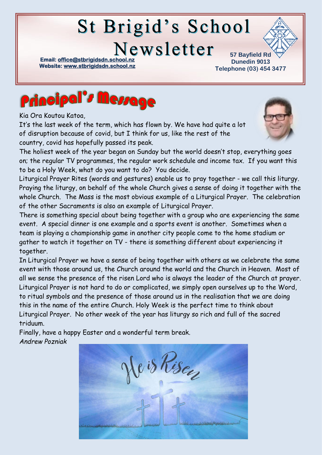# **St Brigid's School**

Newsletter

**Email: office@stbrigidsdn.school Website[: www.stbrigidsdn.school.nz](http://www.stbrigidsdn.school.nz/)** 

**57 Bayfield Rd Dunedin 9013 Telephone (03) 454 3477** 



Kia Ora Koutou Katoa,

It's the last week of the term, which has flown by. We have had quite a lot of disruption because of covid, but I think for us, like the rest of the country, covid has hopefully passed its peak.



The holiest week of the year began on Sunday but the world doesn't stop, everything goes on; the regular TV programmes, the regular work schedule and income tax. If you want this to be a Holy Week, what do you want to do? You decide.

Liturgical Prayer Rites (words and gestures) enable us to pray together - we call this liturgy. Praying the liturgy, on behalf of the whole Church gives a sense of doing it together with the whole Church. The Mass is the most obvious example of a Liturgical Prayer. The celebration of the other Sacraments is also an example of Liturgical Prayer.

There is something special about being together with a group who are experiencing the same event. A special dinner is one example and a sports event is another. Sometimes when a team is playing a championship game in another city people come to the home stadium or gather to watch it together on TV - there is something different about experiencing it together.

In Liturgical Prayer we have a sense of being together with others as we celebrate the same event with those around us, the Church around the world and the Church in Heaven. Most of all we sense the presence of the risen Lord who is always the leader of the Church at prayer. Liturgical Prayer is not hard to do or complicated, we simply open ourselves up to the Word, to ritual symbols and the presence of those around us in the realisation that we are doing this in the name of the entire Church. Holy Week is the perfect time to think about Liturgical Prayer. No other week of the year has liturgy so rich and full of the sacred triduum.

Finally, have a happy Easter and a wonderful term break. *Andrew Pozniak*

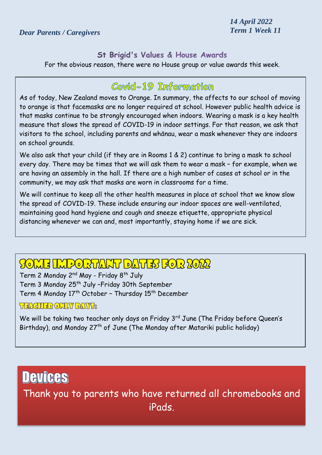*14 April 2022*

#### St Brigid's Values & House Awards

For the obvious reason, there were no House group or value awards this week.

#### Covid-19 Information

As of today, New Zealand moves to Orange. In summary, the affects to our school of moving to orange is that facemasks are no longer required at school. However public health advice is that masks continue to be strongly encouraged when indoors. Wearing a mask is a key health measure that slows the spread of COVID-19 in indoor settings. For that reason, we ask that visitors to the school, including parents and whānau, wear a mask whenever they are indoors on school grounds.

We also ask that your child (if they are in Rooms 1 & 2) continue to bring a mask to school every day. There may be times that we will ask them to wear a mask – for example, when we are having an assembly in the hall. If there are a high number of cases at school or in the community, we may ask that masks are worn in classrooms for a time.

We will continue to keep all the other health measures in place at school that we know slow the spread of COVID-19. These include ensuring our indoor spaces are well-ventilated, maintaining good hand hygiene and cough and sneeze etiquette, appropriate physical distancing whenever we can and, most importantly, staying home if we are sick.

## SOME IMPORTANT DATES FOR 2022

Term 2 Monday 2<sup>nd</sup> May - Friday 8<sup>th</sup> July Term 3 Monday 25<sup>th</sup> July -Friday 30th September Term 4 Monday 17<sup>th</sup> October - Thursday 15<sup>th</sup> December

#### **THACHER OFILY DAY'S:**

We will be taking two teacher only days on Friday 3<sup>rd</sup> June (The Friday before Queen's Birthday), and Monday 27<sup>th</sup> of June (The Monday after Matariki public holiday)

# **Devices** Thank you to parents who have returned all chromebooks and iPads.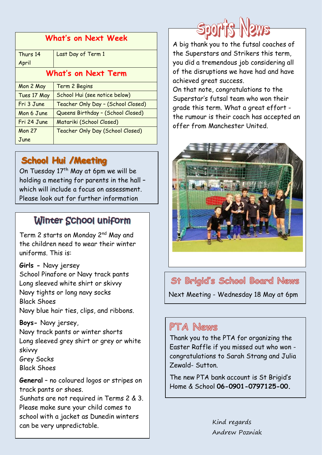| What's on Next Week        |                                    |
|----------------------------|------------------------------------|
| Thurs 14                   | Last Day of Term 1                 |
| April                      |                                    |
| <b>What's on Next Term</b> |                                    |
| Mon 2 May                  | Term 2 Begins                      |
| Tues 17 May                | School Hui (see notice below)      |
| Fri 3 June                 | Teacher Only Day - (School Closed) |
| Mon 6 June                 | Queens Birthday - (School Closed)  |
| Fri 24 June                | Matariki (School Closed)           |
| <b>Mon 27</b>              | Teacher Only Day (School Closed)   |
| June                       |                                    |

#### **School Hui /Meeting**

On Tuesday 17<sup>th</sup> May at 6pm we will be holding a meeting for parents in the hall – which will include a focus on assessment. Please look out for further information

### Winter School uniform

Term 2 starts on Monday 2nd May and the children need to wear their winter uniforms. This is:

**Girls -** Navy jersey School Pinafore or Navy track pants Long sleeved white shirt or skivvy Navy tights or long navy socks Black Shoes Navy blue hair ties, clips, and ribbons.

**Boys-** Navy jersey, Navy track pants or winter shorts Long sleeved grey shirt or grey or white skivvy Grey Socks Black Shoes

**General** – no coloured logos or stripes on track pants or shoes.

Sunhats are not required in Terms 2 & 3. Please make sure your child comes to school with a jacket as Dunedin winters can be very unpredictable.



A big thank you to the futsal coaches of the Superstars and Strikers this term, you did a tremendous job considering all of the disruptions we have had and have achieved great success.

On that note, congratulations to the Superstar's futsal team who won their grade this term. What a great effort the rumour is their coach has accepted an offer from Manchester United.



St Brigid's School Board News

Next Meeting - Wednesday 18 May at 6pm

#### PTA News

Thank you to the PTA for organizing the Easter Raffle if you missed out who won congratulations to Sarah Strang and Julia Zewald- Sutton.

The new PTA bank account is St Brigid's Home & School **06-0901-0797125-00.**

> Kind regards Andrew Pozniak